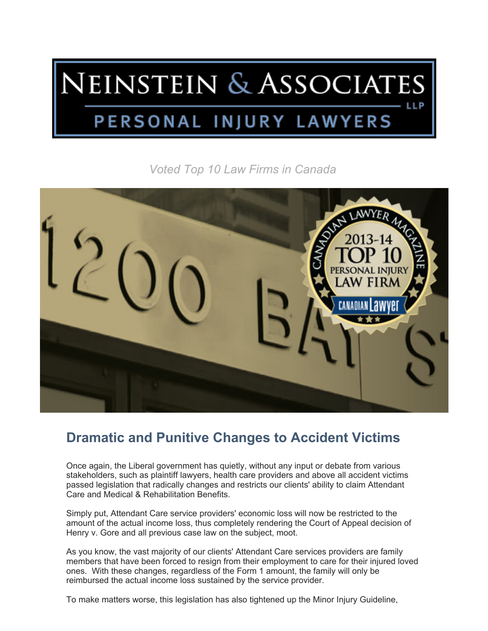## NEINSTEIN & ASSOCIATES LLP PERSONAL INJURY LAWYERS

*Voted Top 10 Law Firms in Canada*



## **Dramatic and Punitive Changes to Accident Victims**

Once again, the Liberal government has quietly, without any input or debate from various stakeholders, such as plaintiff lawyers, health care providers and above all accident victims passed legislation that radically changes and restricts our clients' ability to claim Attendant Care and Medical & Rehabilitation Benefits.

Simply put, Attendant Care service providers' economic loss will now be restricted to the amount of the actual income loss, thus completely rendering the Court of Appeal decision of Henry v. Gore and all previous case law on the subject, moot.

As you know, the vast majority of our clients' Attendant Care services providers are family members that have been forced to resign from their employment to care for their injured loved ones. With these changes, regardless of the Form 1 amount, the family will only be reimbursed the actual income loss sustained by the service provider.

To make matters worse, this legislation has also tightened up the Minor Injury Guideline,